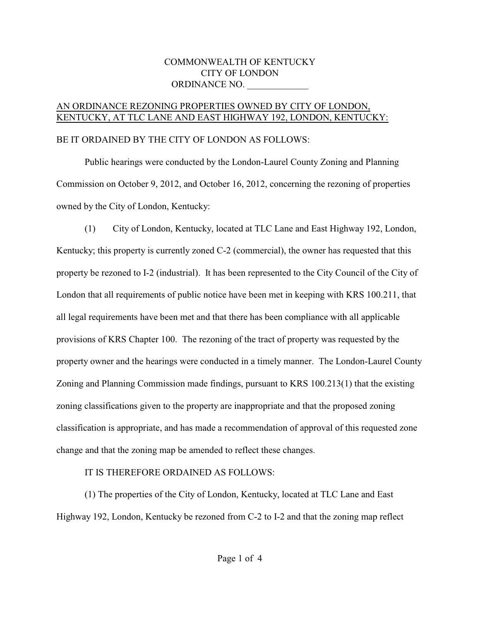## COMMONWEALTH OF KENTUCKY CITY OF LONDON ORDINANCE NO.

## AN ORDINANCE REZONING PROPERTIES OWNED BY CITY OF LONDON, KENTUCKY, AT TLC LANE AND EAST HIGHWAY 192, LONDON, KENTUCKY:

## BE IT ORDAINED BY THE CITY OF LONDON AS FOLLOWS:

Public hearings were conducted by the London-Laurel County Zoning and Planning Commission on October 9, 2012, and October 16, 2012, concerning the rezoning of properties owned by the City of London, Kentucky:

(1) City of London, Kentucky, located at TLC Lane and East Highway 192, London, Kentucky; this property is currently zoned C-2 (commercial), the owner has requested that this property be rezoned to I-2 (industrial). It has been represented to the City Council of the City of London that all requirements of public notice have been met in keeping with KRS 100.211, that all legal requirements have been met and that there has been compliance with all applicable provisions of KRS Chapter 100. The rezoning of the tract of property was requested by the property owner and the hearings were conducted in a timely manner. The London-Laurel County Zoning and Planning Commission made findings, pursuant to KRS 100.213(1) that the existing zoning classifications given to the property are inappropriate and that the proposed zoning classification is appropriate, and has made a recommendation of approval of this requested zone change and that the zoning map be amended to reflect these changes.

## IT IS THEREFORE ORDAINED AS FOLLOWS:

(1) The properties of the City of London, Kentucky, located at TLC Lane and East Highway 192, London, Kentucky be rezoned from C-2 to I-2 and that the zoning map reflect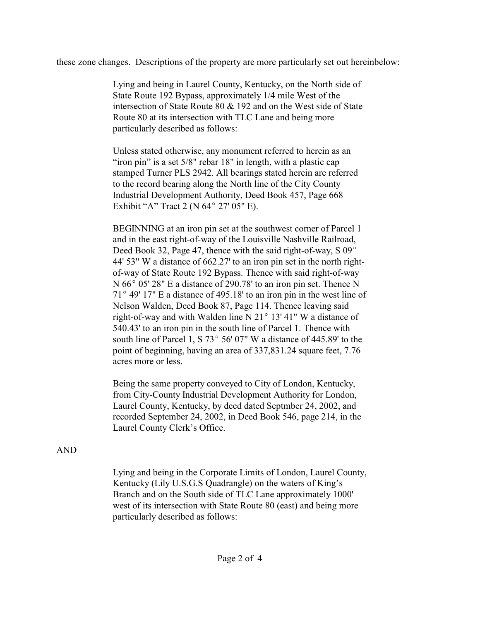these zone changes. Descriptions of the property are more particularly set out hereinbelow:

Lying and being in Laurel County, Kentucky, on the North side of State Route 192 Bypass, approximately 1/4 mile West of the intersection of State Route 80 & 192 and on the West side of State Route 80 at its intersection with TLC Lane and being more particularly described as follows:

Unless stated otherwise, any monument referred to herein as an "iron pin" is a set 5/8" rebar 18" in length, with a plastic cap stamped Turner PLS 2942. All bearings stated herein are referred to the record bearing along the North line of the City County Industrial Development Authority, Deed Book 457, Page 668 Exhibit "A" Tract 2 (N  $64^{\circ}$  27' 05" E).

BEGINNING at an iron pin set at the southwest corner of Parcel 1 and in the east right-of-way of the Louisville Nashville Railroad, Deed Book 32, Page 47, thence with the said right-of-way,  $S_{0.9^{\circ}}$ 44' 53" W a distance of 662.27' to an iron pin set in the north rightof-way of State Route 192 Bypass. Thence with said right-of-way  $N$  66 $^{\circ}$  05' 28" E a distance of 290.78' to an iron pin set. Thence N  $71^{\circ}$  49' 17" E a distance of 495.18' to an iron pin in the west line of Nelson Walden, Deed Book 87, Page 114. Thence leaving said right-of-way and with Walden line N  $21^{\circ}$  13' 41" W a distance of 540.43' to an iron pin in the south line of Parcel 1. Thence with south line of Parcel 1, S 73 $\degree$  56' 07" W a distance of 445.89' to the point of beginning, having an area of 337,831.24 square feet, 7.76 acres more or less.

Being the same property conveyed to City of London, Kentucky, from City-County Industrial Development Authority for London, Laurel County, Kentucky, by deed dated Septmber 24, 2002, and recorded September 24, 2002, in Deed Book 546, page 214, in the Laurel County Clerk's Office.

AND

Lying and being in the Corporate Limits of London, Laurel County, Kentucky (Lily U.S.G.S Quadrangle) on the waters of King's Branch and on the South side of TLC Lane approximately 1000' west of its intersection with State Route 80 (east) and being more particularly described as follows: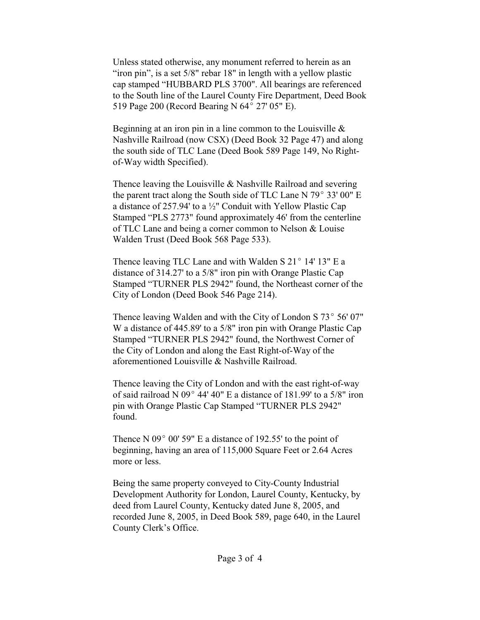Unless stated otherwise, any monument referred to herein as an "iron pin", is a set 5/8" rebar 18" in length with a yellow plastic cap stamped "HUBBARD PLS 3700". All bearings are referenced to the South line of the Laurel County Fire Department, Deed Book 519 Page 200 (Record Bearing N 64° 27' 05" E).

Beginning at an iron pin in a line common to the Louisville  $\&$ Nashville Railroad (now CSX) (Deed Book 32 Page 47) and along the south side of TLC Lane (Deed Book 589 Page 149, No Rightof-Way width Specified).

Thence leaving the Louisville & Nashville Railroad and severing the parent tract along the South side of TLC Lane N  $79^{\circ}$  33' 00" E a distance of 257.94' to a  $\frac{1}{2}$ " Conduit with Yellow Plastic Cap Stamped "PLS 2773" found approximately 46' from the centerline of TLC Lane and being a corner common to Nelson & Louise Walden Trust (Deed Book 568 Page 533).

Thence leaving TLC Lane and with Walden S  $21^{\circ}$  14' 13" E a distance of 314.27' to a 5/8" iron pin with Orange Plastic Cap Stamped "TURNER PLS 2942" found, the Northeast corner of the City of London (Deed Book 546 Page 214).

Thence leaving Walden and with the City of London S  $73^{\circ}$  56' 07" W a distance of 445.89' to a 5/8" iron pin with Orange Plastic Cap Stamped "TURNER PLS 2942" found, the Northwest Corner of the City of London and along the East Right-of-Way of the aforementioned Louisville & Nashville Railroad.

Thence leaving the City of London and with the east right-of-way of said railroad N 09 $^{\circ}$  44' 40" E a distance of 181.99' to a 5/8" iron pin with Orange Plastic Cap Stamped "TURNER PLS 2942" found.

Thence N 09 $^{\circ}$  00' 59" E a distance of 192.55' to the point of beginning, having an area of 115,000 Square Feet or 2.64 Acres more or less.

Being the same property conveyed to City-County Industrial Development Authority for London, Laurel County, Kentucky, by deed from Laurel County, Kentucky dated June 8, 2005, and recorded June 8, 2005, in Deed Book 589, page 640, in the Laurel County Clerk's Office.